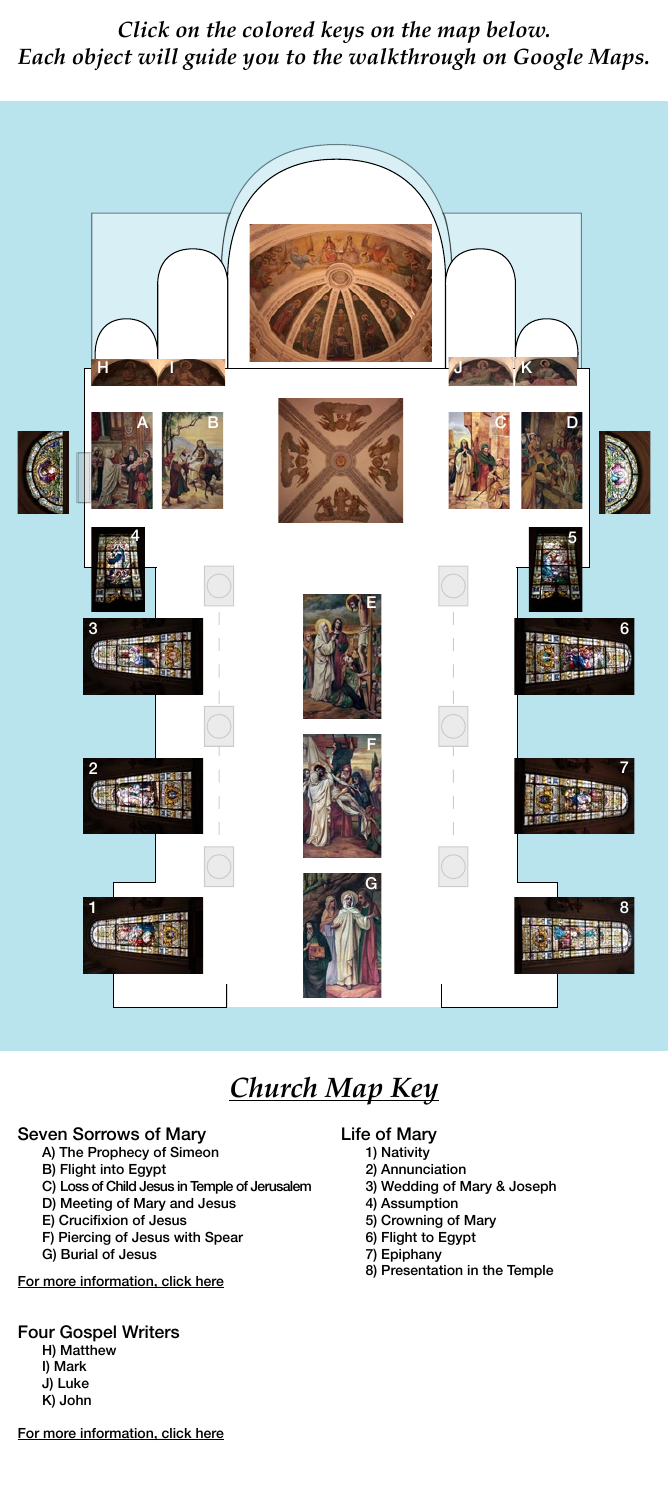### Seven Sorrows of Mary

- A) The Prophecy of Simeon
- B) Flight into Egypt
- C) Loss of Child Jesus in Temple of Jerusalem
- D) Meeting of Mary and Jesus
- E) Crucifixion of Jesus
- F) Piercing of Jesus with Spear
- G) Burial of Jesus

## Four Gospel Writers

H) Matthew I) Mark J) Luke

K) John

### Life of Mary

- 1) Nativity
- 2) Annunciation
- 3) Wedding of Mary & Joseph
- 4) Assumption
- 5) Crowning of Mary
- 6) Flight to Egypt
- 7) Epiphany
- 8) Presentation in the Temple

*Click on the colored keys on the map below. Each object will guide you to the walkthrough on Google Maps.*

# *Church Map Key*



#### For more information, click here

#### For more information, click here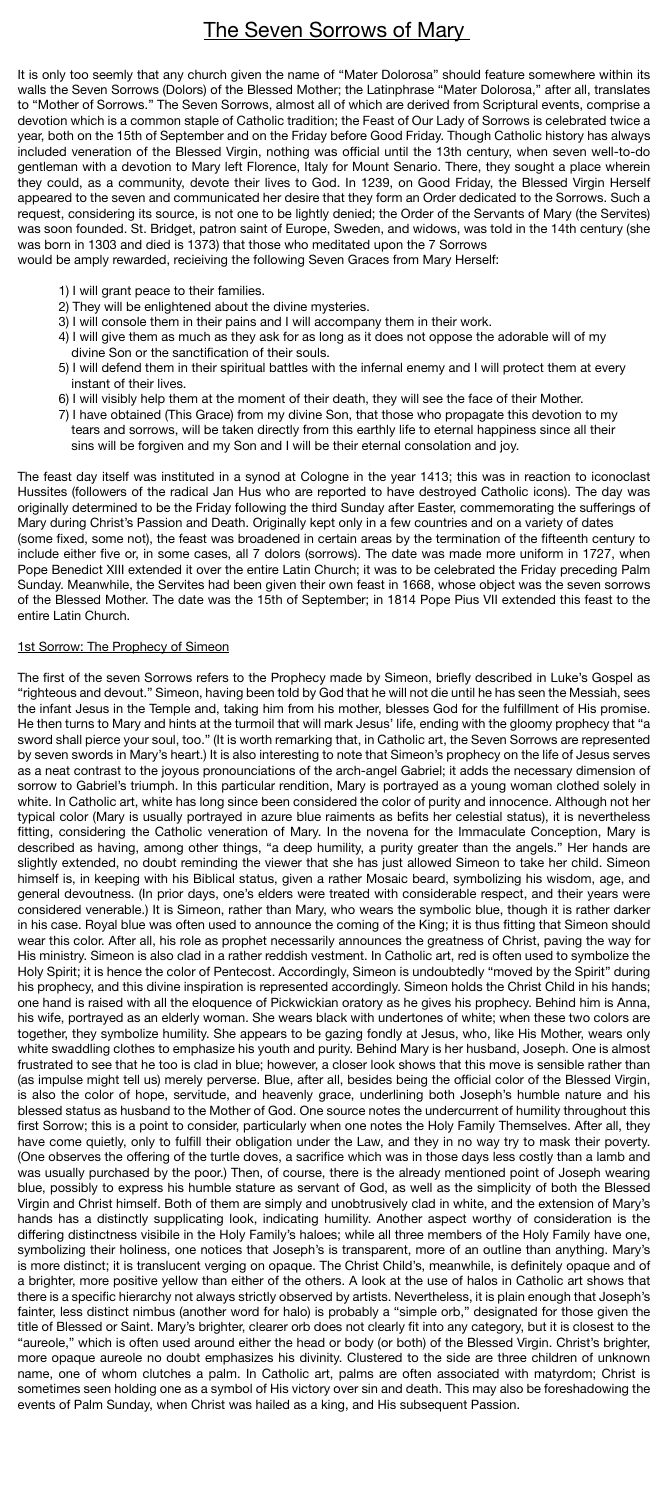## **The Seven Sorrows of Mary**

It is only too seemly that any church given the name of "Mater Dolorosa" should feature somewhere within its walls the Seven Sorrows (Dolors) of the Blessed Mother; the Latinphrase "Mater Dolorosa," after all, translates to "Mother of Sorrows." The Seven Sorrows, almost all of which are derived from Scriptural events, comprise a devotion which is a common staple of Catholic tradition; the Feast of Our Lady of Sorrows is celebrated twice a year, both on the 15th of September and on the Friday before Good Friday. Though Catholic history has always included veneration of the Blessed Virgin, nothing was official until the 13th century, when seven well-to-do gentleman with a devotion to Mary left Florence, Italy for Mount Senario. There, they sought a place wherein they could, as a community, devote their lives to God. In 1239, on Good Friday, the Blessed Virgin Herself appeared to the seven and communicated her desire that they form an Order dedicated to the Sorrows. Such a request, considering its source, is not one to be lightly denied; the Order of the Servants of Mary (the Servites) was soon founded. St. Bridget, patron saint of Europe, Sweden, and widows, was told in the 14th century (she was born in 1303 and died is 1373) that those who meditated upon the 7 Sorrows

would be amply rewarded, recieiving the following Seven Graces from Mary Herself:

- 1) I will grant peace to their families.
- 2) They will be enlightened about the divine mysteries.
- 3) I will console them in their pains and I will accompany them in their work.
- 4) I will give them as much as they ask for as long as it does not oppose the adorable will of my divine Son or the sanctification of their souls.
- 5) I will defend them in their spiritual battles with the infernal enemy and I will protect them at every instant of their lives.
- 6) I will visibly help them at the moment of their death, they will see the face of their Mother.
- 7) I have obtained (This Grace) from my divine Son, that those who propagate this devotion to my tears and sorrows, will be taken directly from this earthly life to eternal happiness since all their sins will be forgiven and my Son and I will be their eternal consolation and joy.

The feast day itself was instituted in a synod at Cologne in the year 1413; this was in reaction to iconoclast Hussites (followers of the radical Jan Hus who are reported to have destroyed Catholic icons). The day was originally determined to be the Friday following the third Sunday after Easter, commemorating the sufferings of Mary during Christ's Passion and Death. Originally kept only in a few countries and on a variety of dates (some fixed, some not), the feast was broadened in certain areas by the termination of the fifteenth century to include either five or, in some cases, all 7 dolors (sorrows). The date was made more uniform in 1727, when Pope Benedict XIII extended it over the entire Latin Church; it was to be celebrated the Friday preceding Palm Sunday. Meanwhile, the Servites had been given their own feast in 1668, whose object was the seven sorrows of the Blessed Mother. The date was the 15th of September; in 1814 Pope Pius VII extended this feast to the entire Latin Church.

#### 1st Sorrow: The Prophecy of Simeon

The first of the seven Sorrows refers to the Prophecy made by Simeon, briefly described in Luke's Gospel as "righteous and devout." Simeon, having been told by God that he will not die until he has seen the Messiah, sees the infant Jesus in the Temple and, taking him from his mother, blesses God for the fulfillment of His promise. He then turns to Mary and hints at the turmoil that will mark Jesus' life, ending with the gloomy prophecy that "a sword shall pierce your soul, too." (It is worth remarking that, in Catholic art, the Seven Sorrows are represented by seven swords in Mary's heart.) It is also interesting to note that Simeon's prophecy on the life of Jesus serves as a neat contrast to the joyous pronounciations of the arch-angel Gabriel; it adds the necessary dimension of sorrow to Gabriel's triumph. In this particular rendition, Mary is portrayed as a young woman clothed solely in white. In Catholic art, white has long since been considered the color of purity and innocence. Although not her typical color (Mary is usually portrayed in azure blue raiments as befits her celestial status), it is nevertheless fitting, considering the Catholic veneration of Mary. In the novena for the Immaculate Conception, Mary is described as having, among other things, "a deep humility, a purity greater than the angels." Her hands are slightly extended, no doubt reminding the viewer that she has just allowed Simeon to take her child. Simeon himself is, in keeping with his Biblical status, given a rather Mosaic beard, symbolizing his wisdom, age, and general devoutness. (In prior days, one's elders were treated with considerable respect, and their years were considered venerable.) It is Simeon, rather than Mary, who wears the symbolic blue, though it is rather darker in his case. Royal blue was often used to announce the coming of the King; it is thus fitting that Simeon should wear this color. After all, his role as prophet necessarily announces the greatness of Christ, paving the way for His ministry. Simeon is also clad in a rather reddish vestment. In Catholic art, red is often used to symbolize the Holy Spirit; it is hence the color of Pentecost. Accordingly, Simeon is undoubtedly "moved by the Spirit" during his prophecy, and this divine inspiration is represented accordingly. Simeon holds the Christ Child in his hands; one hand is raised with all the eloquence of Pickwickian oratory as he gives his prophecy. Behind him is Anna, his wife, portrayed as an elderly woman. She wears black with undertones of white; when these two colors are together, they symbolize humility. She appears to be gazing fondly at Jesus, who, like His Mother, wears only white swaddling clothes to emphasize his youth and purity. Behind Mary is her husband, Joseph. One is almost frustrated to see that he too is clad in blue; however, a closer look shows that this move is sensible rather than (as impulse might tell us) merely perverse. Blue, after all, besides being the official color of the Blessed Virgin, is also the color of hope, servitude, and heavenly grace, underlining both Joseph's humble nature and his blessed status as husband to the Mother of God. One source notes the undercurrent of humility throughout this first Sorrow; this is a point to consider, particularly when one notes the Holy Family Themselves. After all, they have come quietly, only to fulfill their obligation under the Law, and they in no way try to mask their poverty. (One observes the offering of the turtle doves, a sacrifice which was in those days less costly than a lamb and was usually purchased by the poor.) Then, of course, there is the already mentioned point of Joseph wearing blue, possibly to express his humble stature as servant of God, as well as the simplicity of both the Blessed Virgin and Christ himself. Both of them are simply and unobtrusively clad in white, and the extension of Mary's hands has a distinctly supplicating look, indicating humility. Another aspect worthy of consideration is the differing distinctness visibile in the Holy Family's haloes; while all three members of the Holy Family have one, symbolizing their holiness, one notices that Joseph's is transparent, more of an outline than anything. Mary's is more distinct; it is translucent verging on opaque. The Christ Child's, meanwhile, is definitely opaque and of a brighter, more positive yellow than either of the others. A look at the use of halos in Catholic art shows that there is a specific hierarchy not always strictly observed by artists. Nevertheless, it is plain enough that Joseph's fainter, less distinct nimbus (another word for halo) is probably a "simple orb," designated for those given the title of Blessed or Saint. Mary's brighter, clearer orb does not clearly fit into any category, but it is closest to the "aureole," which is often used around either the head or body (or both) of the Blessed Virgin. Christ's brighter, more opaque aureole no doubt emphasizes his divinity. Clustered to the side are three children of unknown name, one of whom clutches a palm. In Catholic art, palms are often associated with matyrdom; Christ is sometimes seen holding one as a symbol of His victory over sin and death. This may also be foreshadowing the events of Palm Sunday, when Christ was hailed as a king, and His subsequent Passion.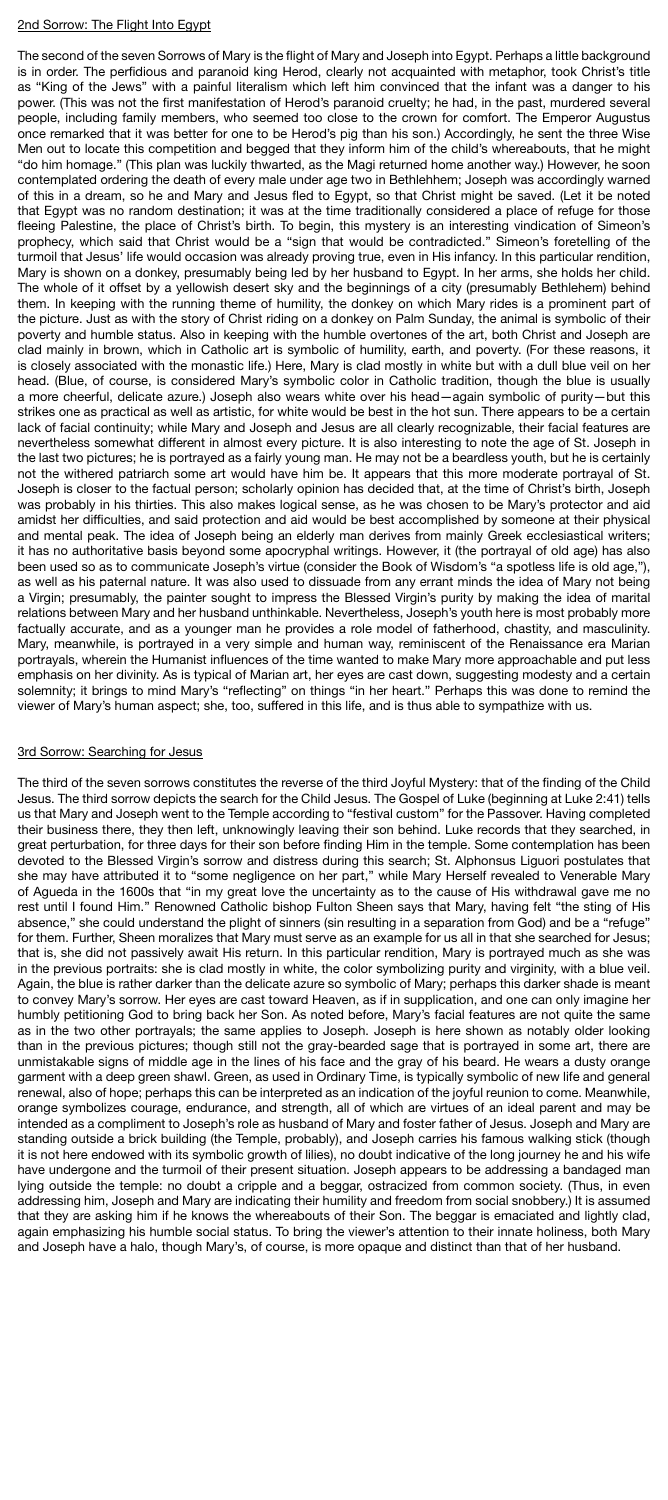#### 2nd Sorrow: The Flight Into Egypt

The second of the seven Sorrows of Mary is the flight of Mary and Joseph into Egypt. Perhaps a little background is in order. The perfidious and paranoid king Herod, clearly not acquainted with metaphor, took Christ's title as "King of the Jews" with a painful literalism which left him convinced that the infant was a danger to his power. (This was not the first manifestation of Herod's paranoid cruelty; he had, in the past, murdered several people, including family members, who seemed too close to the crown for comfort. The Emperor Augustus once remarked that it was better for one to be Herod's pig than his son.) Accordingly, he sent the three Wise Men out to locate this competition and begged that they inform him of the child's whereabouts, that he might "do him homage." (This plan was luckily thwarted, as the Magi returned home another way.) However, he soon contemplated ordering the death of every male under age two in Bethlehhem; Joseph was accordingly warned of this in a dream, so he and Mary and Jesus fled to Egypt, so that Christ might be saved. (Let it be noted that Egypt was no random destination; it was at the time traditionally considered a place of refuge for those fleeing Palestine, the place of Christ's birth. To begin, this mystery is an interesting vindication of Simeon's prophecy, which said that Christ would be a "sign that would be contradicted." Simeon's foretelling of the turmoil that Jesus' life would occasion was already proving true, even in His infancy. In this particular rendition, Mary is shown on a donkey, presumably being led by her husband to Egypt. In her arms, she holds her child. The whole of it offset by a yellowish desert sky and the beginnings of a city (presumably Bethlehem) behind them. In keeping with the running theme of humility, the donkey on which Mary rides is a prominent part of the picture. Just as with the story of Christ riding on a donkey on Palm Sunday, the animal is symbolic of their poverty and humble status. Also in keeping with the humble overtones of the art, both Christ and Joseph are clad mainly in brown, which in Catholic art is symbolic of humility, earth, and poverty. (For these reasons, it is closely associated with the monastic life.) Here, Mary is clad mostly in white but with a dull blue veil on her head. (Blue, of course, is considered Mary's symbolic color in Catholic tradition, though the blue is usually a more cheerful, delicate azure.) Joseph also wears white over his head—again symbolic of purity—but this strikes one as practical as well as artistic, for white would be best in the hot sun. There appears to be a certain lack of facial continuity; while Mary and Joseph and Jesus are all clearly recognizable, their facial features are nevertheless somewhat different in almost every picture. It is also interesting to note the age of St. Joseph in the last two pictures; he is portrayed as a fairly young man. He may not be a beardless youth, but he is certainly not the withered patriarch some art would have him be. It appears that this more moderate portrayal of St. Joseph is closer to the factual person; scholarly opinion has decided that, at the time of Christ's birth, Joseph was probably in his thirties. This also makes logical sense, as he was chosen to be Mary's protector and aid amidst her difficulties, and said protection and aid would be best accomplished by someone at their physical and mental peak. The idea of Joseph being an elderly man derives from mainly Greek ecclesiastical writers; it has no authoritative basis beyond some apocryphal writings. However, it (the portrayal of old age) has also been used so as to communicate Joseph's virtue (consider the Book of Wisdom's "a spotless life is old age,"), as well as his paternal nature. It was also used to dissuade from any errant minds the idea of Mary not being a Virgin; presumably, the painter sought to impress the Blessed Virgin's purity by making the idea of marital relations between Mary and her husband unthinkable. Nevertheless, Joseph's youth here is most probably more factually accurate, and as a younger man he provides a role model of fatherhood, chastity, and masculinity. Mary, meanwhile, is portrayed in a very simple and human way, reminiscent of the Renaissance era Marian portrayals, wherein the Humanist influences of the time wanted to make Mary more approachable and put less emphasis on her divinity. As is typical of Marian art, her eyes are cast down, suggesting modesty and a certain solemnity; it brings to mind Mary's "reflecting" on things "in her heart." Perhaps this was done to remind the viewer of Mary's human aspect; she, too, suffered in this life, and is thus able to sympathize with us.

#### 3rd Sorrow: Searching for Jesus

The third of the seven sorrows constitutes the reverse of the third Joyful Mystery: that of the finding of the Child Jesus. The third sorrow depicts the search for the Child Jesus. The Gospel of Luke (beginning at Luke 2:41) tells us that Mary and Joseph went to the Temple according to "festival custom" for the Passover. Having completed their business there, they then left, unknowingly leaving their son behind. Luke records that they searched, in great perturbation, for three days for their son before finding Him in the temple. Some contemplation has been devoted to the Blessed Virgin's sorrow and distress during this search; St. Alphonsus Liguori postulates that she may have attributed it to "some negligence on her part," while Mary Herself revealed to Venerable Mary of Agueda in the 1600s that "in my great love the uncertainty as to the cause of His withdrawal gave me no rest until I found Him." Renowned Catholic bishop Fulton Sheen says that Mary, having felt "the sting of His absence," she could understand the plight of sinners (sin resulting in a separation from God) and be a "refuge" for them. Further, Sheen moralizes that Mary must serve as an example for us all in that she searched for Jesus; that is, she did not passively await His return. In this particular rendition, Mary is portrayed much as she was in the previous portraits: she is clad mostly in white, the color symbolizing purity and virginity, with a blue veil. Again, the blue is rather darker than the delicate azure so symbolic of Mary; perhaps this darker shade is meant to convey Mary's sorrow. Her eyes are cast toward Heaven, as if in supplication, and one can only imagine her humbly petitioning God to bring back her Son. As noted before, Mary's facial features are not quite the same as in the two other portrayals; the same applies to Joseph. Joseph is here shown as notably older looking than in the previous pictures; though still not the gray-bearded sage that is portrayed in some art, there are unmistakable signs of middle age in the lines of his face and the gray of his beard. He wears a dusty orange garment with a deep green shawl. Green, as used in Ordinary Time, is typically symbolic of new life and general renewal, also of hope; perhaps this can be interpreted as an indication of the joyful reunion to come. Meanwhile, orange symbolizes courage, endurance, and strength, all of which are virtues of an ideal parent and may be intended as a compliment to Joseph's role as husband of Mary and foster father of Jesus. Joseph and Mary are standing outside a brick building (the Temple, probably), and Joseph carries his famous walking stick (though it is not here endowed with its symbolic growth of lilies), no doubt indicative of the long journey he and his wife have undergone and the turmoil of their present situation. Joseph appears to be addressing a bandaged man lying outside the temple: no doubt a cripple and a beggar, ostracized from common society. (Thus, in even addressing him, Joseph and Mary are indicating their humility and freedom from social snobbery.) It is assumed that they are asking him if he knows the whereabouts of their Son. The beggar is emaciated and lightly clad, again emphasizing his humble social status. To bring the viewer's attention to their innate holiness, both Mary and Joseph have a halo, though Mary's, of course, is more opaque and distinct than that of her husband.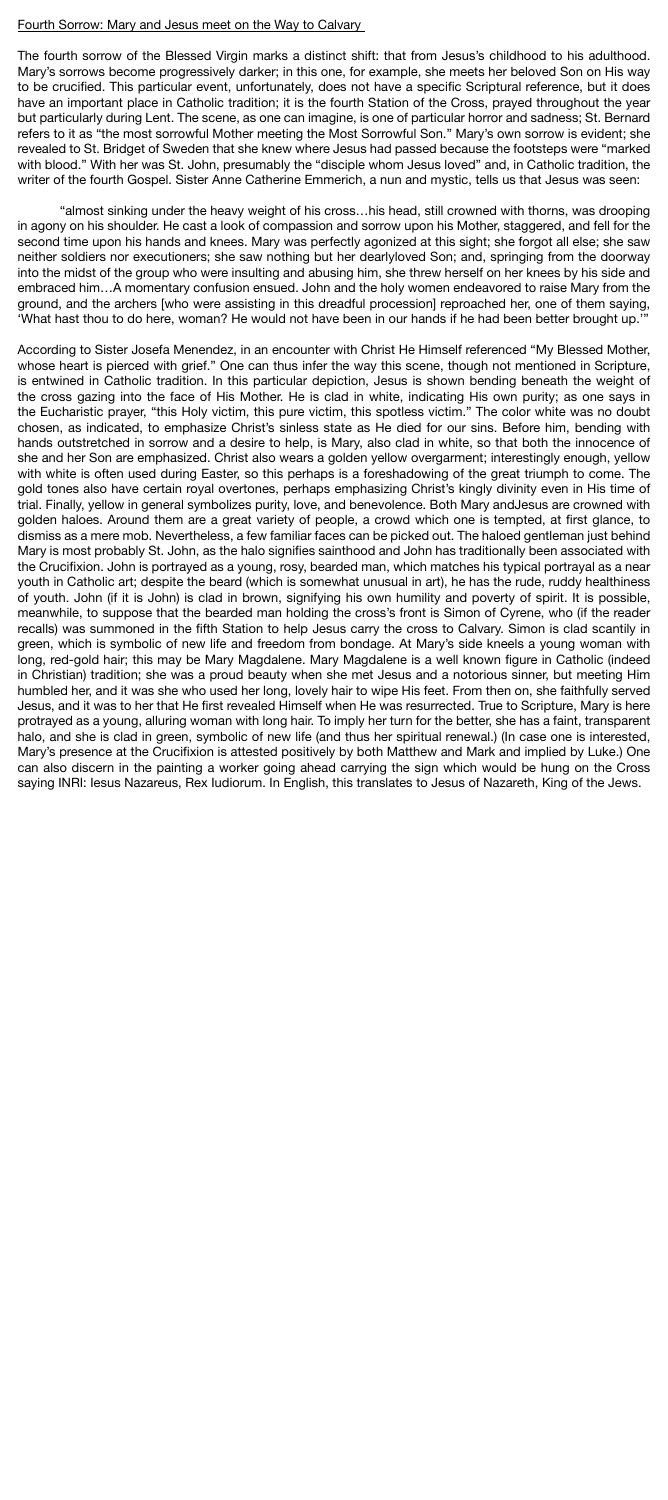#### Fourth Sorrow: Mary and Jesus meet on the Way to Calvary

The fourth sorrow of the Blessed Virgin marks a distinct shift: that from Jesus's childhood to his adulthood. Mary's sorrows become progressively darker; in this one, for example, she meets her beloved Son on His way to be crucified. This particular event, unfortunately, does not have a specific Scriptural reference, but it does have an important place in Catholic tradition; it is the fourth Station of the Cross, prayed throughout the year but particularly during Lent. The scene, as one can imagine, is one of particular horror and sadness; St. Bernard refers to it as "the most sorrowful Mother meeting the Most Sorrowful Son." Mary's own sorrow is evident; she revealed to St. Bridget of Sweden that she knew where Jesus had passed because the footsteps were "marked with blood." With her was St. John, presumably the "disciple whom Jesus loved" and, in Catholic tradition, the writer of the fourth Gospel. Sister Anne Catherine Emmerich, a nun and mystic, tells us that Jesus was seen:

"almost sinking under the heavy weight of his cross…his head, still crowned with thorns, was drooping in agony on his shoulder. He cast a look of compassion and sorrow upon his Mother, staggered, and fell for the second time upon his hands and knees. Mary was perfectly agonized at this sight; she forgot all else; she saw neither soldiers nor executioners; she saw nothing but her dearlyloved Son; and, springing from the doorway into the midst of the group who were insulting and abusing him, she threw herself on her knees by his side and embraced him…A momentary confusion ensued. John and the holy women endeavored to raise Mary from the ground, and the archers [who were assisting in this dreadful procession] reproached her, one of them saying, 'What hast thou to do here, woman? He would not have been in our hands if he had been better brought up.'"

According to Sister Josefa Menendez, in an encounter with Christ He Himself referenced "My Blessed Mother, whose heart is pierced with grief." One can thus infer the way this scene, though not mentioned in Scripture, is entwined in Catholic tradition. In this particular depiction, Jesus is shown bending beneath the weight of the cross gazing into the face of His Mother. He is clad in white, indicating His own purity; as one says in the Eucharistic prayer, "this Holy victim, this pure victim, this spotless victim." The color white was no doubt chosen, as indicated, to emphasize Christ's sinless state as He died for our sins. Before him, bending with hands outstretched in sorrow and a desire to help, is Mary, also clad in white, so that both the innocence of she and her Son are emphasized. Christ also wears a golden yellow overgarment; interestingly enough, yellow with white is often used during Easter, so this perhaps is a foreshadowing of the great triumph to come. The gold tones also have certain royal overtones, perhaps emphasizing Christ's kingly divinity even in His time of trial. Finally, yellow in general symbolizes purity, love, and benevolence. Both Mary andJesus are crowned with golden haloes. Around them are a great variety of people, a crowd which one is tempted, at first glance, to dismiss as a mere mob. Nevertheless, a few familiar faces can be picked out. The haloed gentleman just behind Mary is most probably St. John, as the halo signifies sainthood and John has traditionally been associated with the Crucifixion. John is portrayed as a young, rosy, bearded man, which matches his typical portrayal as a near youth in Catholic art; despite the beard (which is somewhat unusual in art), he has the rude, ruddy healthiness of youth. John (if it is John) is clad in brown, signifying his own humility and poverty of spirit. It is possible, meanwhile, to suppose that the bearded man holding the cross's front is Simon of Cyrene, who (if the reader recalls) was summoned in the fifth Station to help Jesus carry the cross to Calvary. Simon is clad scantily in green, which is symbolic of new life and freedom from bondage. At Mary's side kneels a young woman with long, red-gold hair; this may be Mary Magdalene. Mary Magdalene is a well known figure in Catholic (indeed in Christian) tradition; she was a proud beauty when she met Jesus and a notorious sinner, but meeting Him humbled her, and it was she who used her long, lovely hair to wipe His feet. From then on, she faithfully served Jesus, and it was to her that He first revealed Himself when He was resurrected. True to Scripture, Mary is here protrayed as a young, alluring woman with long hair. To imply her turn for the better, she has a faint, transparent halo, and she is clad in green, symbolic of new life (and thus her spiritual renewal.) (In case one is interested, Mary's presence at the Crucifixion is attested positively by both Matthew and Mark and implied by Luke.) One can also discern in the painting a worker going ahead carrying the sign which would be hung on the Cross saying INRI: Iesus Nazareus, Rex Iudiorum. In English, this translates to Jesus of Nazareth, King of the Jews.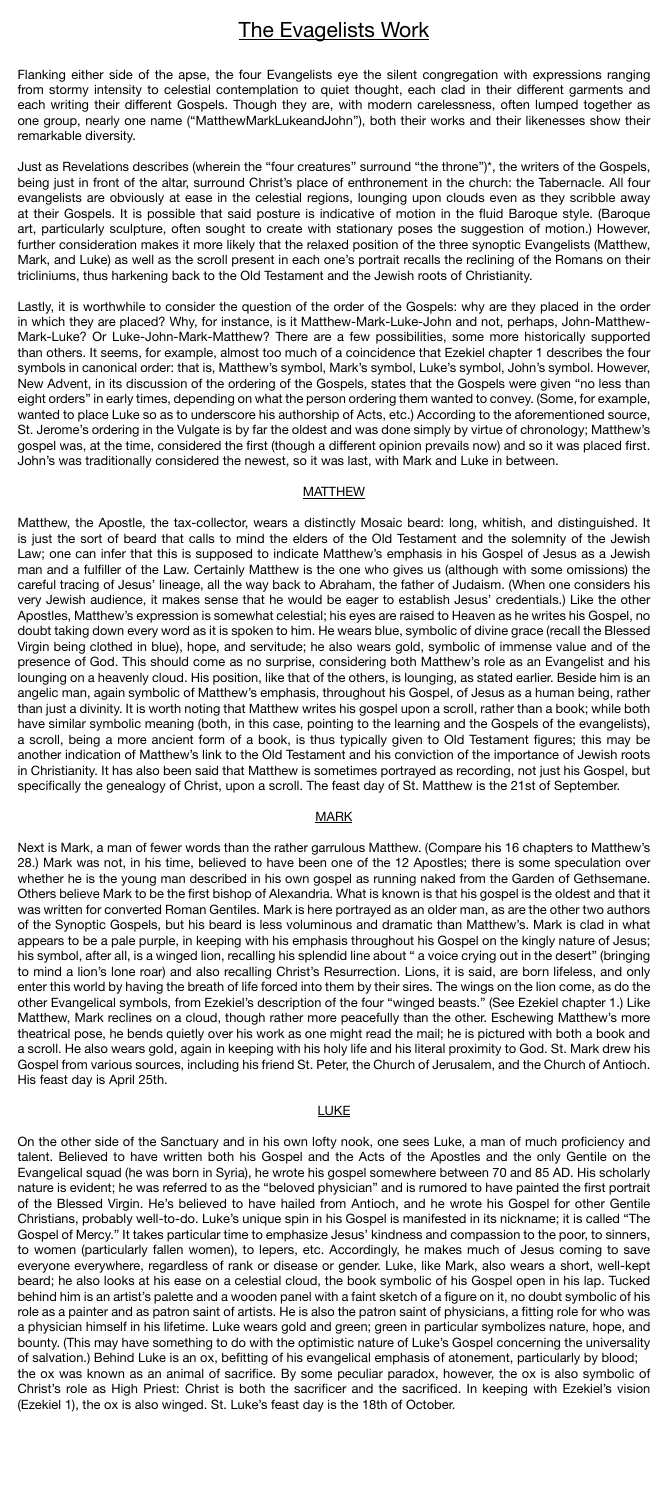## The Evagelists Work

Flanking either side of the apse, the four Evangelists eye the silent congregation with expressions ranging from stormy intensity to celestial contemplation to quiet thought, each clad in their different garments and each writing their different Gospels. Though they are, with modern carelessness, often lumped together as one group, nearly one name ("MatthewMarkLukeandJohn"), both their works and their likenesses show their remarkable diversity.

Just as Revelations describes (wherein the "four creatures" surround "the throne")\*, the writers of the Gospels, being just in front of the altar, surround Christ's place of enthronement in the church: the Tabernacle. All four evangelists are obviously at ease in the celestial regions, lounging upon clouds even as they scribble away at their Gospels. It is possible that said posture is indicative of motion in the fluid Baroque style. (Baroque art, particularly sculpture, often sought to create with stationary poses the suggestion of motion.) However, further consideration makes it more likely that the relaxed position of the three synoptic Evangelists (Matthew, Mark, and Luke) as well as the scroll present in each one's portrait recalls the reclining of the Romans on their tricliniums, thus harkening back to the Old Testament and the Jewish roots of Christianity.

Lastly, it is worthwhile to consider the question of the order of the Gospels: why are they placed in the order in which they are placed? Why, for instance, is it Matthew-Mark-Luke-John and not, perhaps, John-Matthew-Mark-Luke? Or Luke-John-Mark-Matthew? There are a few possibilities, some more historically supported than others. It seems, for example, almost too much of a coincidence that Ezekiel chapter 1 describes the four symbols in canonical order: that is, Matthew's symbol, Mark's symbol, Luke's symbol, John's symbol. However, New Advent, in its discussion of the ordering of the Gospels, states that the Gospels were given "no less than eight orders" in early times, depending on what the person ordering them wanted to convey. (Some, for example, wanted to place Luke so as to underscore his authorship of Acts, etc.) According to the aforementioned source, St. Jerome's ordering in the Vulgate is by far the oldest and was done simply by virtue of chronology; Matthew's gospel was, at the time, considered the first (though a different opinion prevails now) and so it was placed first. John's was traditionally considered the newest, so it was last, with Mark and Luke in between.

#### MATTHEW

Matthew, the Apostle, the tax-collector, wears a distinctly Mosaic beard: long, whitish, and distinguished. It is just the sort of beard that calls to mind the elders of the Old Testament and the solemnity of the Jewish Law; one can infer that this is supposed to indicate Matthew's emphasis in his Gospel of Jesus as a Jewish man and a fulfiller of the Law. Certainly Matthew is the one who gives us (although with some omissions) the careful tracing of Jesus' lineage, all the way back to Abraham, the father of Judaism. (When one considers his very Jewish audience, it makes sense that he would be eager to establish Jesus' credentials.) Like the other Apostles, Matthew's expression is somewhat celestial; his eyes are raised to Heaven as he writes his Gospel, no doubt taking down every word as it is spoken to him. He wears blue, symbolic of divine grace (recall the Blessed Virgin being clothed in blue), hope, and servitude; he also wears gold, symbolic of immense value and of the presence of God. This should come as no surprise, considering both Matthew's role as an Evangelist and his lounging on a heavenly cloud. His position, like that of the others, is lounging, as stated earlier. Beside him is an angelic man, again symbolic of Matthew's emphasis, throughout his Gospel, of Jesus as a human being, rather than just a divinity. It is worth noting that Matthew writes his gospel upon a scroll, rather than a book; while both have similar symbolic meaning (both, in this case, pointing to the learning and the Gospels of the evangelists), a scroll, being a more ancient form of a book, is thus typically given to Old Testament figures; this may be another indication of Matthew's link to the Old Testament and his conviction of the importance of Jewish roots in Christianity. It has also been said that Matthew is sometimes portrayed as recording, not just his Gospel, but specifically the genealogy of Christ, upon a scroll. The feast day of St. Matthew is the 21st of September.

#### **MARK**

Next is Mark, a man of fewer words than the rather garrulous Matthew. (Compare his 16 chapters to Matthew's 28.) Mark was not, in his time, believed to have been one of the 12 Apostles; there is some speculation over whether he is the young man described in his own gospel as running naked from the Garden of Gethsemane. Others believe Mark to be the first bishop of Alexandria. What is known is that his gospel is the oldest and that it was written for converted Roman Gentiles. Mark is here portrayed as an older man, as are the other two authors of the Synoptic Gospels, but his beard is less voluminous and dramatic than Matthew's. Mark is clad in what appears to be a pale purple, in keeping with his emphasis throughout his Gospel on the kingly nature of Jesus; his symbol, after all, is a winged lion, recalling his splendid line about " a voice crying out in the desert" (bringing to mind a lion's lone roar) and also recalling Christ's Resurrection. Lions, it is said, are born lifeless, and only enter this world by having the breath of life forced into them by their sires. The wings on the lion come, as do the other Evangelical symbols, from Ezekiel's description of the four "winged beasts." (See Ezekiel chapter 1.) Like Matthew, Mark reclines on a cloud, though rather more peacefully than the other. Eschewing Matthew's more theatrical pose, he bends quietly over his work as one might read the mail; he is pictured with both a book and a scroll. He also wears gold, again in keeping with his holy life and his literal proximity to God. St. Mark drew his

Gospel from various sources, including his friend St. Peter, the Church of Jerusalem, and the Church of Antioch. His feast day is April 25th.

#### LUKE

On the other side of the Sanctuary and in his own lofty nook, one sees Luke, a man of much proficiency and talent. Believed to have written both his Gospel and the Acts of the Apostles and the only Gentile on the Evangelical squad (he was born in Syria), he wrote his gospel somewhere between 70 and 85 AD. His scholarly nature is evident; he was referred to as the "beloved physician" and is rumored to have painted the first portrait of the Blessed Virgin. He's believed to have hailed from Antioch, and he wrote his Gospel for other Gentile Christians, probably well-to-do. Luke's unique spin in his Gospel is manifested in its nickname; it is called "The Gospel of Mercy." It takes particular time to emphasize Jesus' kindness and compassion to the poor, to sinners, to women (particularly fallen women), to lepers, etc. Accordingly, he makes much of Jesus coming to save everyone everywhere, regardless of rank or disease or gender. Luke, like Mark, also wears a short, well-kept beard; he also looks at his ease on a celestial cloud, the book symbolic of his Gospel open in his lap. Tucked behind him is an artist's palette and a wooden panel with a faint sketch of a figure on it, no doubt symbolic of his role as a painter and as patron saint of artists. He is also the patron saint of physicians, a fitting role for who was a physician himself in his lifetime. Luke wears gold and green; green in particular symbolizes nature, hope, and bounty. (This may have something to do with the optimistic nature of Luke's Gospel concerning the universality of salvation.) Behind Luke is an ox, befitting of his evangelical emphasis of atonement, particularly by blood; the ox was known as an animal of sacrifice. By some peculiar paradox, however, the ox is also symbolic of Christ's role as High Priest: Christ is both the sacrificer and the sacrificed. In keeping with Ezekiel's vision (Ezekiel 1), the ox is also winged. St. Luke's feast day is the 18th of October.